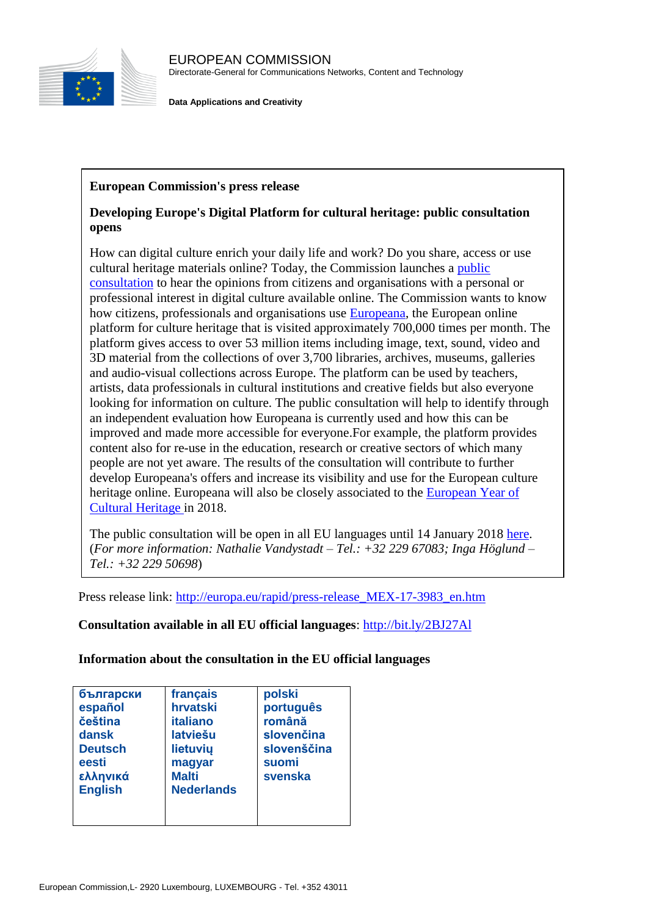

**Data Applications and Creativity**

## **European Commission's press release**

## **Developing Europe's Digital Platform for cultural heritage: public consultation opens**

How can digital culture enrich your daily life and work? Do you share, access or use cultural heritage materials online? Today, the Commission launches a [public](https://ec.europa.eu/info/consultations/public-consultation-europeana-europes-digital-platform-cultural-heritage_en)  [consultation](https://ec.europa.eu/info/consultations/public-consultation-europeana-europes-digital-platform-cultural-heritage_en) to hear the opinions from citizens and organisations with a personal or professional interest in digital culture available online. The Commission wants to know how citizens, professionals and organisations use [Europeana,](https://www.europeana.eu/portal/en) the European online platform for culture heritage that is visited approximately 700,000 times per month. The platform gives access to over 53 million items including image, text, sound, video and 3D material from the collections of over 3,700 libraries, archives, museums, galleries and audio-visual collections across Europe. The platform can be used by teachers, artists, data professionals in cultural institutions and creative fields but also everyone looking for information on culture. The public consultation will help to identify through an independent evaluation how Europeana is currently used and how this can be improved and made more accessible for everyone.For example, the platform provides content also for re-use in the education, research or creative sectors of which many people are not yet aware. The results of the consultation will contribute to further develop Europeana's offers and increase its visibility and use for the European culture heritage online. Europeana will also be closely associated to the [European Year of](http://europa.eu/rapid/press-release_IP-17-1111_en.htm)  [Cultural Heritage i](http://europa.eu/rapid/press-release_IP-17-1111_en.htm)n 2018.

The public consultation will be open in all EU languages until 14 January 2018 [here.](https://ec.europa.eu/info/consultations/public-consultation-europeana-europes-digital-platform-cultural-heritage_en) (*For more information: Nathalie Vandystadt – Tel.: +32 229 67083; Inga Höglund – Tel.: +32 229 50698*)

Press release link: [http://europa.eu/rapid/press-release\\_MEX-17-3983\\_en.htm](http://europa.eu/rapid/press-release_MEX-17-3983_en.htm)

**Consultation available in all EU official languages**:<http://bit.ly/2BJ27Al>

**Information about the consultation in the EU official languages**

| български      | français          | polski      |
|----------------|-------------------|-------------|
| español        | hrvatski          | português   |
| čeština        | <b>italiano</b>   | română      |
| dansk          | latviešu          | slovenčina  |
| <b>Deutsch</b> | lietuvių          | slovenščina |
| eesti          | magyar            | suomi       |
| ελληνικά       | <b>Malti</b>      | svenska     |
| <b>English</b> | <b>Nederlands</b> |             |
|                |                   |             |
|                |                   |             |